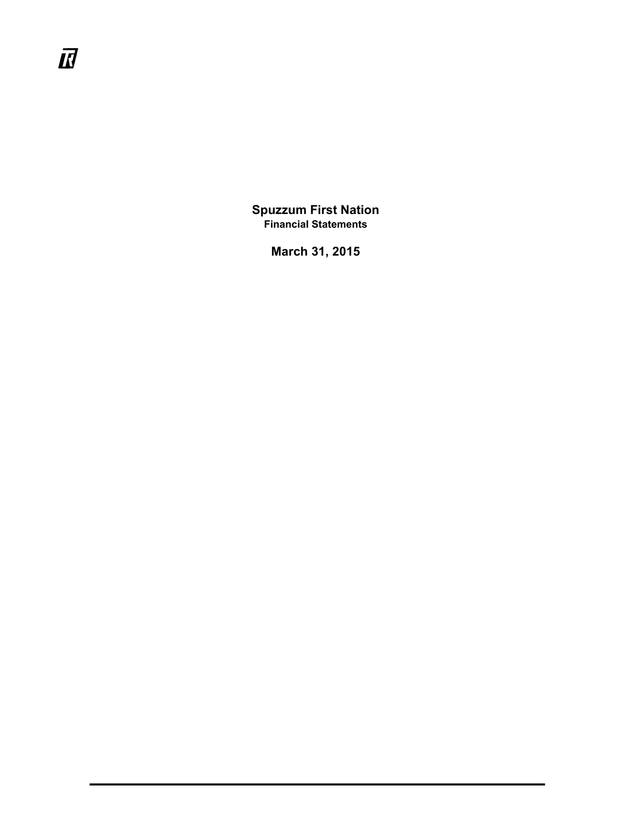$I\!\!I\!\!J$ 

**Spuzzum First Nation Financial Statements**

**March 31, 2015**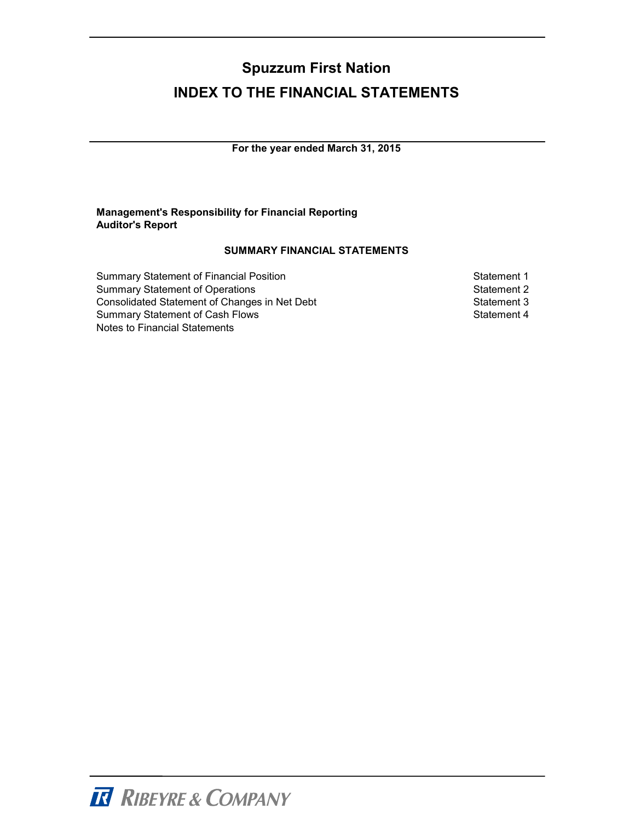# **Spuzzum First Nation INDEX TO THE FINANCIAL STATEMENTS**

**For the year ended March 31, 2015**

#### **Management's Responsibility for Financial Reporting Auditor's Report**

#### **SUMMARY FINANCIAL STATEMENTS**

| <b>Summary Statement of Financial Position</b> |
|------------------------------------------------|
| <b>Summary Statement of Operations</b>         |
| Consolidated Statement of Changes in Net Deb   |
| <b>Summary Statement of Cash Flows</b>         |
| Notes to Financial Statements                  |

Statement 1 Statement 2 consolidated Statement 3 Statement 4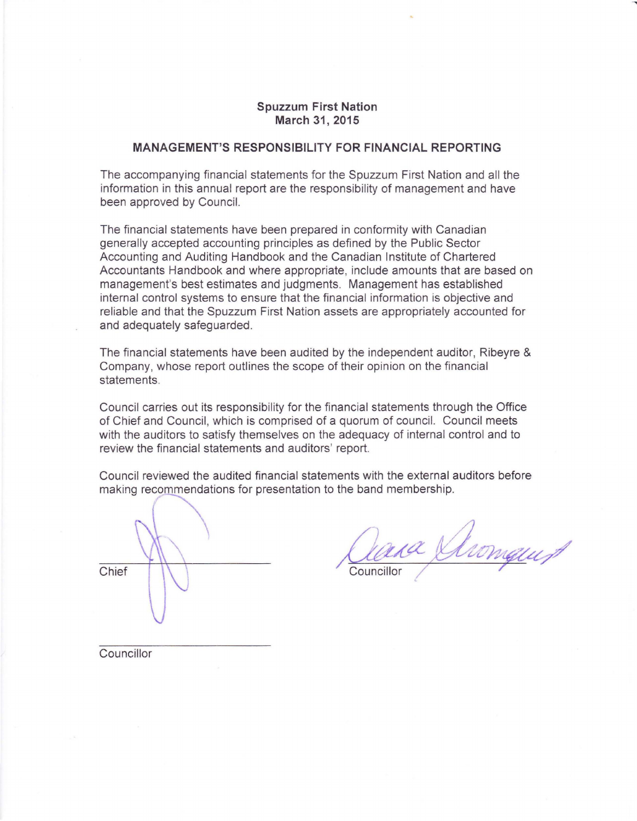#### **Spuzzum First Nation March** 31, **2015**

#### **MANAGEMENT'S RESPONSIBILITY FOR FINANCIAL REPORTING**

The accompanying financial statements for the Spuzzum First Nation and all the information in this annual report are the responsibility of management and have been approved by Council.

The financial statements have been prepared in conformity with Canadian generally accepted accounting principles as defined by the Public Sector Accounting and Auditing Handbook and the Canadian Institute of Chartered Accountants Handbook and where appropriate, include amounts that are based on management's best estimates and judgments. Management has established internal control systems to ensure that the financial information is objective and reliable and that the Spuzzum First Nation assets are appropriately accounted for and adequately safeguarded.

The financial statements have been audited by the independent auditor, Ribeyre & Company, whose report outlines the scope of their opinion on the financial statements.

Council carries out its responsibility for the financial statements through the Office of Chief and Council, which is comprised of a quorum of council. Council meets with the auditors to satisfy themselves on the adequacy of internal control and to review the financial statements and auditors' report.

Council reviewed the audited financial statements with the external auditors before making recommendations for presentation to the band membership.

Chief

aas Shomquet Councillor

Councillor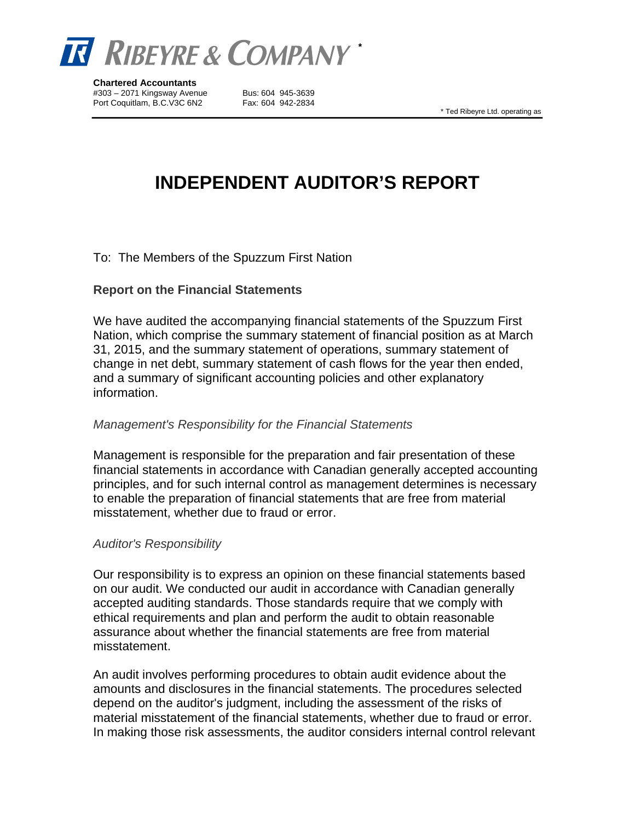

**Chartered Accountants**  #303 – 2071 Kingsway Avenue Bus: 604 945-3639 Port Coquitlam, B.C.V3C 6N2 Fax: 604 942-2834

\* Ted Ribeyre Ltd. operating as

# **INDEPENDENT AUDITOR'S REPORT**

#### To: The Members of the Spuzzum First Nation

#### **Report on the Financial Statements**

We have audited the accompanying financial statements of the Spuzzum First Nation, which comprise the summary statement of financial position as at March 31, 2015, and the summary statement of operations, summary statement of change in net debt, summary statement of cash flows for the year then ended, and a summary of significant accounting policies and other explanatory information.

#### *Management's Responsibility for the Financial Statements*

Management is responsible for the preparation and fair presentation of these financial statements in accordance with Canadian generally accepted accounting principles, and for such internal control as management determines is necessary to enable the preparation of financial statements that are free from material misstatement, whether due to fraud or error.

#### *Auditor's Responsibility*

Our responsibility is to express an opinion on these financial statements based on our audit. We conducted our audit in accordance with Canadian generally accepted auditing standards. Those standards require that we comply with ethical requirements and plan and perform the audit to obtain reasonable assurance about whether the financial statements are free from material misstatement.

An audit involves performing procedures to obtain audit evidence about the amounts and disclosures in the financial statements. The procedures selected depend on the auditor's judgment, including the assessment of the risks of material misstatement of the financial statements, whether due to fraud or error. In making those risk assessments, the auditor considers internal control relevant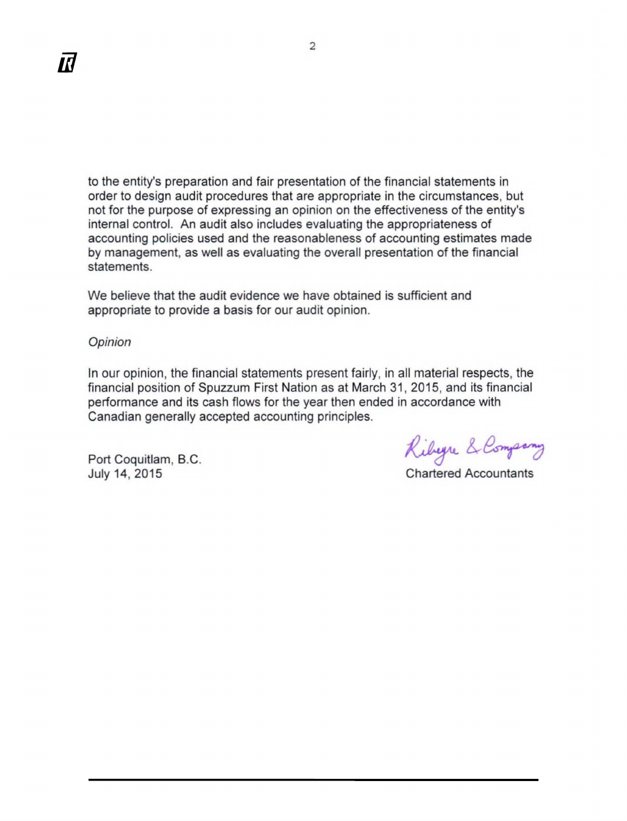to the entity's preparation and fair presentation of the financial statements in order to design audit procedures that are appropriate in the circumstances, but not for the purpose of expressing an opinion on the effectiveness of the entity's not for the purpose of expressing an opinion on the effectiveness of the e<br>internal control. An audit also includes evaluating the appropriateness of accounting policies used and the reasonableness of accounting estimates made accounting policies used and the reasonableness of accounting estimates made by management, as well as evaluating the overall presentation of the financial<br>statements. statements.

We believe that the audit evidence we have obtained is sufficient and appropriate to provide a basis for our audit opinion.

Opinion Opinion

In our opinion, the financial statements present fairly, in all material respects, the financial position of Spuzzum First Nation as at March 31, 2015, and its financial performance and its cash flows for the year then ended in accordance with Canadian generally accepted accounting principles. Canadian generally accepted accounting principles.<br>Port Coquitlam, B.C.<br>July 14, 2015 **Chartered Accountants** 

Port Coquitlam, B.C. July 14, 2015

Chartered Accountants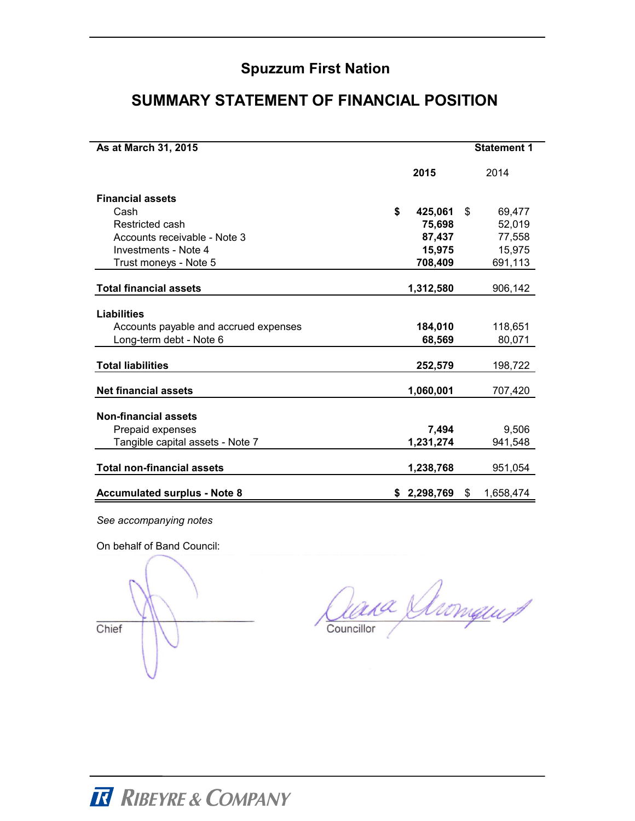# **SUMMARY STATEMENT OF FINANCIAL POSITION**

| As at March 31, 2015                  |                 | <b>Statement 1</b> |
|---------------------------------------|-----------------|--------------------|
|                                       | 2015            | 2014               |
| <b>Financial assets</b>               |                 |                    |
| Cash                                  | \$<br>425,061   | \$<br>69,477       |
| Restricted cash                       | 75,698          | 52,019             |
| Accounts receivable - Note 3          | 87,437          | 77.558             |
| Investments - Note 4                  | 15,975          | 15,975             |
| Trust moneys - Note 5                 | 708,409         | 691,113            |
| <b>Total financial assets</b>         | 1,312,580       | 906,142            |
| <b>Liabilities</b>                    |                 |                    |
| Accounts payable and accrued expenses | 184,010         | 118,651            |
| Long-term debt - Note 6               | 68,569          | 80,071             |
| <b>Total liabilities</b>              | 252,579         | 198,722            |
| <b>Net financial assets</b>           | 1,060,001       | 707,420            |
| <b>Non-financial assets</b>           |                 |                    |
| Prepaid expenses                      | 7,494           | 9,506              |
| Tangible capital assets - Note 7      | 1,231,274       | 941,548            |
| <b>Total non-financial assets</b>     | 1,238,768       | 951,054            |
| <b>Accumulated surplus - Note 8</b>   | \$<br>2,298,769 | \$<br>1,658,474    |

*See accompanying notes*

On behalf of Band Council:

Chief

ana Shomquit Councillor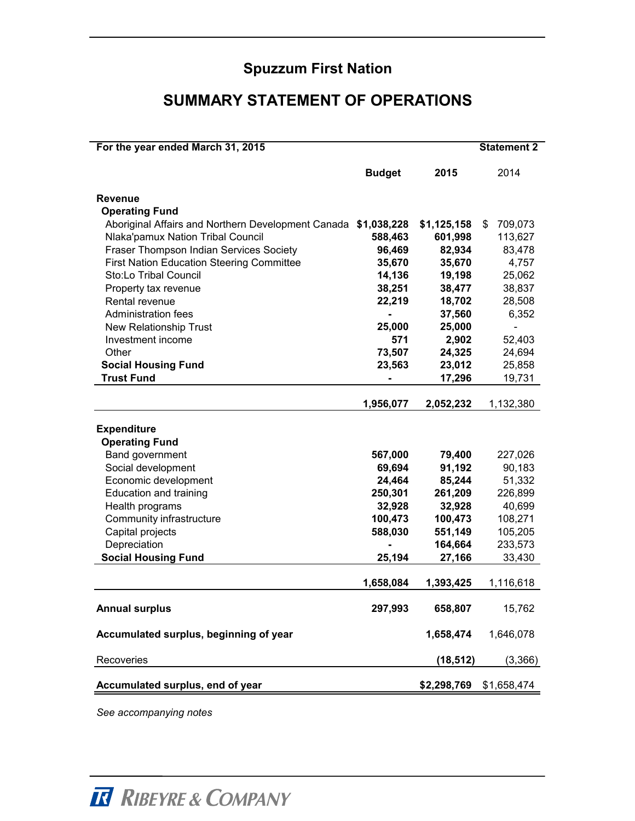# **SUMMARY STATEMENT OF OPERATIONS**

| For the year ended March 31, 2015                  |                |             | <b>Statement 2</b> |
|----------------------------------------------------|----------------|-------------|--------------------|
|                                                    | <b>Budget</b>  | 2015        | 2014               |
| <b>Revenue</b>                                     |                |             |                    |
| <b>Operating Fund</b>                              |                |             |                    |
| Aboriginal Affairs and Northern Development Canada | \$1,038,228    | \$1,125,158 | \$<br>709,073      |
| Nlaka'pamux Nation Tribal Council                  | 588,463        | 601,998     | 113,627            |
| Fraser Thompson Indian Services Society            | 96,469         | 82,934      | 83,478             |
| <b>First Nation Education Steering Committee</b>   | 35,670         | 35,670      | 4,757              |
| Sto:Lo Tribal Council                              | 14,136         | 19,198      | 25,062             |
| Property tax revenue                               | 38,251         | 38,477      | 38,837             |
| Rental revenue                                     | 22,219         | 18,702      | 28,508             |
| <b>Administration fees</b>                         | $\blacksquare$ | 37,560      | 6,352              |
| New Relationship Trust                             | 25,000         | 25,000      |                    |
| Investment income                                  | 571            | 2,902       | 52,403             |
| Other                                              | 73,507         | 24,325      | 24,694             |
| <b>Social Housing Fund</b>                         | 23,563         | 23,012      | 25,858             |
| <b>Trust Fund</b>                                  |                | 17,296      | 19,731             |
|                                                    |                |             |                    |
|                                                    | 1,956,077      | 2,052,232   | 1,132,380          |
| <b>Expenditure</b><br><b>Operating Fund</b>        |                |             |                    |
| Band government                                    | 567,000        | 79,400      | 227,026            |
| Social development                                 | 69,694         | 91,192      | 90,183             |
| Economic development                               | 24,464         | 85,244      | 51,332             |
| Education and training                             | 250,301        | 261,209     | 226,899            |
| Health programs                                    | 32,928         | 32,928      | 40,699             |
| Community infrastructure                           | 100,473        | 100,473     | 108,271            |
| Capital projects                                   | 588,030        | 551,149     | 105,205            |
| Depreciation                                       |                | 164,664     | 233,573            |
| <b>Social Housing Fund</b>                         | 25,194         | 27,166      | 33,430             |
|                                                    | 1,658,084      | 1,393,425   | 1,116,618          |
| <b>Annual surplus</b>                              | 297,993        | 658,807     | 15,762             |
| Accumulated surplus, beginning of year             |                | 1,658,474   | 1,646,078          |
| Recoveries                                         |                | (18, 512)   | (3,366)            |
| Accumulated surplus, end of year                   |                | \$2,298,769 | \$1,658,474        |

*See accompanying notes*

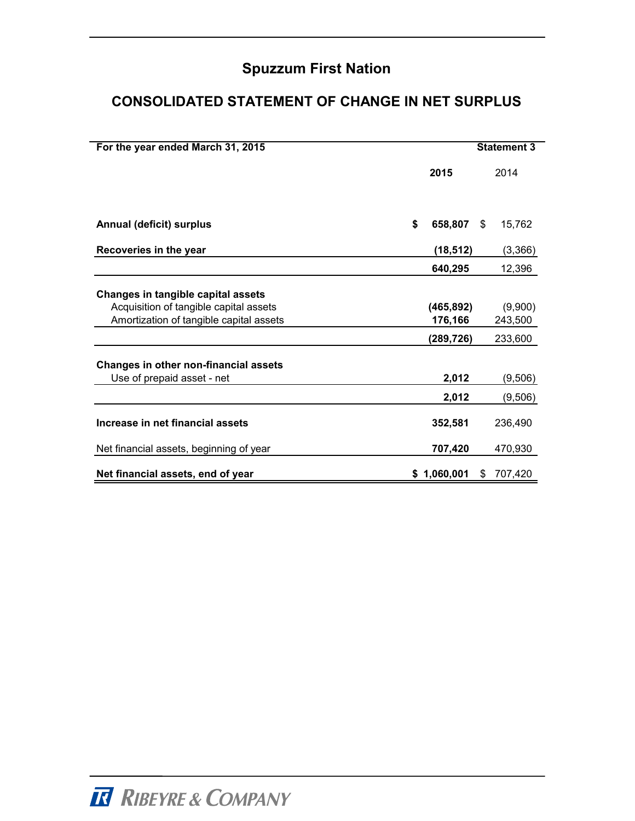# **CONSOLIDATED STATEMENT OF CHANGE IN NET SURPLUS**

| For the year ended March 31, 2015                                                                                       |                       |    | <b>Statement 3</b> |
|-------------------------------------------------------------------------------------------------------------------------|-----------------------|----|--------------------|
|                                                                                                                         | 2015                  |    | 2014               |
| <b>Annual (deficit) surplus</b>                                                                                         | \$<br>658,807         | \$ | 15,762             |
| Recoveries in the year                                                                                                  | (18, 512)             |    | (3,366)            |
|                                                                                                                         | 640,295               |    | 12,396             |
| Changes in tangible capital assets<br>Acquisition of tangible capital assets<br>Amortization of tangible capital assets | (465, 892)<br>176,166 |    | (9,900)<br>243,500 |
|                                                                                                                         | (289,726)             |    | 233,600            |
| Changes in other non-financial assets<br>Use of prepaid asset - net                                                     | 2,012                 |    | (9,506)            |
|                                                                                                                         | 2,012                 |    | (9,506)            |
| Increase in net financial assets                                                                                        | 352,581               |    | 236,490            |
| Net financial assets, beginning of year                                                                                 | 707,420               |    | 470,930            |
| Net financial assets, end of year                                                                                       | \$1,060,001           | S  | 707,420            |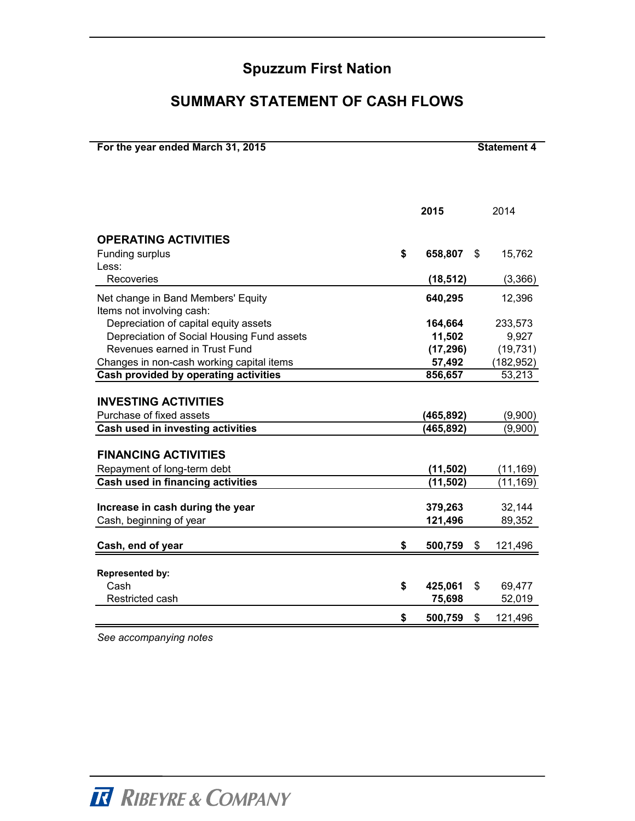### **SUMMARY STATEMENT OF CASH FLOWS**

| For the year ended March 31, 2015          | <b>Statement 4</b>       |    |                    |  |  |
|--------------------------------------------|--------------------------|----|--------------------|--|--|
|                                            |                          |    |                    |  |  |
|                                            | 2015                     |    | 2014               |  |  |
| <b>OPERATING ACTIVITIES</b>                |                          |    |                    |  |  |
| Funding surplus                            | \$<br>658,807            | \$ | 15,762             |  |  |
| Less:                                      |                          |    |                    |  |  |
| Recoveries                                 | (18, 512)                |    | (3,366)            |  |  |
| Net change in Band Members' Equity         | 640,295                  |    | 12,396             |  |  |
| Items not involving cash:                  |                          |    |                    |  |  |
| Depreciation of capital equity assets      | 164,664                  |    | 233,573            |  |  |
| Depreciation of Social Housing Fund assets | 11,502                   |    | 9,927              |  |  |
| Revenues earned in Trust Fund              | (17, 296)                |    | (19, 731)          |  |  |
| Changes in non-cash working capital items  | 57,492                   |    | (182, 952)         |  |  |
| Cash provided by operating activities      | 856,657                  |    | 53,213             |  |  |
| <b>INVESTING ACTIVITIES</b>                |                          |    |                    |  |  |
| Purchase of fixed assets                   |                          |    |                    |  |  |
| Cash used in investing activities          | (465, 892)<br>(465, 892) |    | (9,900)<br>(9,900) |  |  |
|                                            |                          |    |                    |  |  |
| <b>FINANCING ACTIVITIES</b>                |                          |    |                    |  |  |
| Repayment of long-term debt                | (11, 502)                |    | (11, 169)          |  |  |
| Cash used in financing activities          | (11, 502)                |    | (11, 169)          |  |  |
|                                            |                          |    |                    |  |  |
| Increase in cash during the year           | 379,263                  |    | 32,144             |  |  |
| Cash, beginning of year                    | 121,496                  |    | 89,352             |  |  |
| Cash, end of year                          | \$<br>500,759            | \$ | 121,496            |  |  |
|                                            |                          |    |                    |  |  |
|                                            |                          |    |                    |  |  |
| Represented by:<br>Cash                    | \$<br>425,061            | \$ | 69,477             |  |  |
| Restricted cash                            | 75,698                   |    | 52,019             |  |  |
|                                            |                          |    |                    |  |  |
|                                            | \$<br>500,759            | \$ | 121,496            |  |  |

*See accompanying notes*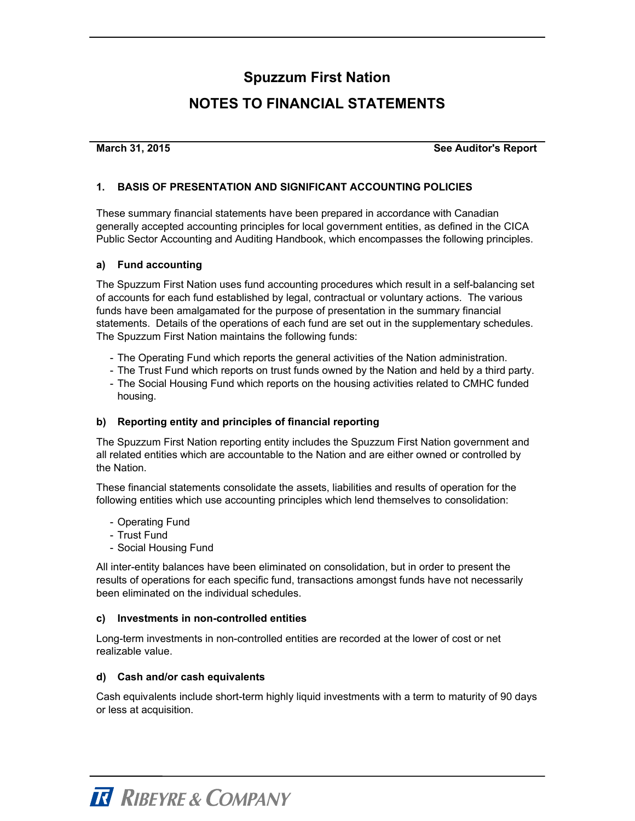### **NOTES TO FINANCIAL STATEMENTS**

**March 31, 2015**

**See Auditor's Report**

#### **1. BASIS OF PRESENTATION AND SIGNIFICANT ACCOUNTING POLICIES**

These summary financial statements have been prepared in accordance with Canadian generally accepted accounting principles for local government entities, as defined in the CICA Public Sector Accounting and Auditing Handbook, which encompasses the following principles.

#### **a) Fund accounting**

The Spuzzum First Nation uses fund accounting procedures which result in a self-balancing set of accounts for each fund established by legal, contractual or voluntary actions. The various funds have been amalgamated for the purpose of presentation in the summary financial statements. Details of the operations of each fund are set out in the supplementary schedules. The Spuzzum First Nation maintains the following funds:

- The Operating Fund which reports the general activities of the Nation administration.
- The Trust Fund which reports on trust funds owned by the Nation and held by a third party.
- The Social Housing Fund which reports on the housing activities related to CMHC funded housing.

#### **b) Reporting entity and principles of financial reporting**

The Spuzzum First Nation reporting entity includes the Spuzzum First Nation government and all related entities which are accountable to the Nation and are either owned or controlled by the Nation.

These financial statements consolidate the assets, liabilities and results of operation for the following entities which use accounting principles which lend themselves to consolidation:

- Operating Fund
- Trust Fund
- Social Housing Fund

All inter-entity balances have been eliminated on consolidation, but in order to present the results of operations for each specific fund, transactions amongst funds have not necessarily been eliminated on the individual schedules.

#### **c) Investments in non-controlled entities**

Long-term investments in non-controlled entities are recorded at the lower of cost or net realizable value.

#### **d) Cash and/or cash equivalents**

Cash equivalents include short-term highly liquid investments with a term to maturity of 90 days or less at acquisition.

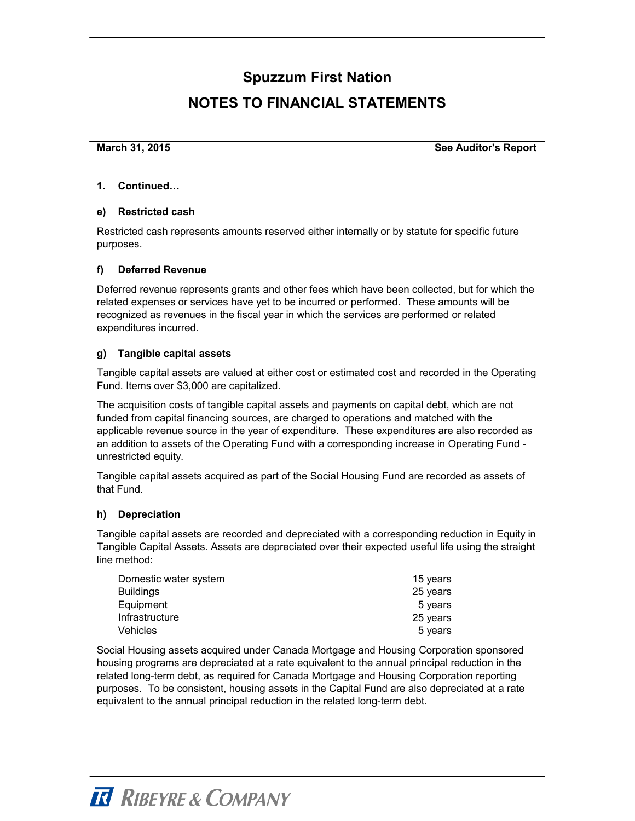### **NOTES TO FINANCIAL STATEMENTS**

**March 31, 2015**

**See Auditor's Report**

#### **1. Continued…**

#### **e) Restricted cash**

Restricted cash represents amounts reserved either internally or by statute for specific future purposes.

#### **f) Deferred Revenue**

Deferred revenue represents grants and other fees which have been collected, but for which the related expenses or services have yet to be incurred or performed. These amounts will be recognized as revenues in the fiscal year in which the services are performed or related expenditures incurred.

#### **g) Tangible capital assets**

Tangible capital assets are valued at either cost or estimated cost and recorded in the Operating Fund. Items over \$3,000 are capitalized.

The acquisition costs of tangible capital assets and payments on capital debt, which are not funded from capital financing sources, are charged to operations and matched with the applicable revenue source in the year of expenditure. These expenditures are also recorded as an addition to assets of the Operating Fund with a corresponding increase in Operating Fund unrestricted equity.

Tangible capital assets acquired as part of the Social Housing Fund are recorded as assets of that Fund.

#### **h) Depreciation**

Tangible capital assets are recorded and depreciated with a corresponding reduction in Equity in Tangible Capital Assets. Assets are depreciated over their expected useful life using the straight line method:

| Domestic water system | 15 years |
|-----------------------|----------|
| Buildings             | 25 years |
| Equipment             | 5 years  |
| Infrastructure        | 25 years |
| Vehicles              | 5 years  |

Social Housing assets acquired under Canada Mortgage and Housing Corporation sponsored housing programs are depreciated at a rate equivalent to the annual principal reduction in the related long-term debt, as required for Canada Mortgage and Housing Corporation reporting purposes. To be consistent, housing assets in the Capital Fund are also depreciated at a rate equivalent to the annual principal reduction in the related long-term debt.

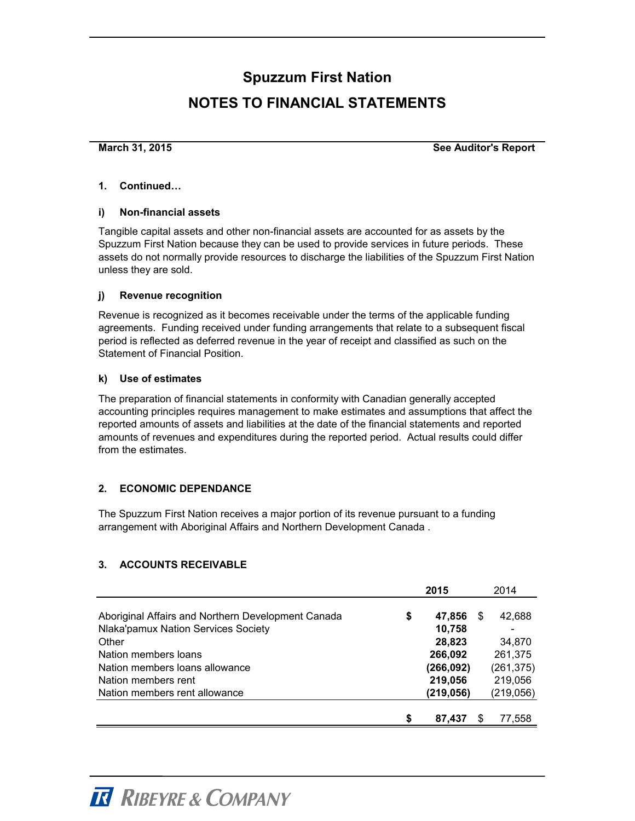# **Spuzzum First Nation NOTES TO FINANCIAL STATEMENTS**

**March 31, 2015**

**See Auditor's Report**

#### **1. Continued…**

#### **i) Non-financial assets**

Tangible capital assets and other non-financial assets are accounted for as assets by the Spuzzum First Nation because they can be used to provide services in future periods. These assets do not normally provide resources to discharge the liabilities of the Spuzzum First Nation unless they are sold.

#### **j) Revenue recognition**

Revenue is recognized as it becomes receivable under the terms of the applicable funding agreements. Funding received under funding arrangements that relate to a subsequent fiscal period is reflected as deferred revenue in the year of receipt and classified as such on the Statement of Financial Position.

#### **k) Use of estimates**

The preparation of financial statements in conformity with Canadian generally accepted accounting principles requires management to make estimates and assumptions that affect the reported amounts of assets and liabilities at the date of the financial statements and reported amounts of revenues and expenditures during the reported period. Actual results could differ from the estimates.

#### **2. ECONOMIC DEPENDANCE**

The Spuzzum First Nation receives a major portion of its revenue pursuant to a funding arrangement with Aboriginal Affairs and Northern Development Canada .

#### **3. ACCOUNTS RECEIVABLE**

|                                                    |   | 2015      |   | 2014            |
|----------------------------------------------------|---|-----------|---|-----------------|
|                                                    |   |           |   |                 |
| Aboriginal Affairs and Northern Development Canada | S | 47,856    | S | 42,688          |
| Nlaka'pamux Nation Services Society                |   | 10,758    |   | $\qquad \qquad$ |
| Other                                              |   | 28,823    |   | 34.870          |
| Nation members loans                               |   | 266,092   |   | 261,375         |
| Nation members loans allowance                     |   | (266,092) |   | (261, 375)      |
| Nation members rent                                |   | 219,056   |   | 219,056         |
| Nation members rent allowance                      |   | (219,056) |   | (219, 056)      |
|                                                    |   |           |   |                 |
|                                                    |   | 87,437    |   | 77,558          |

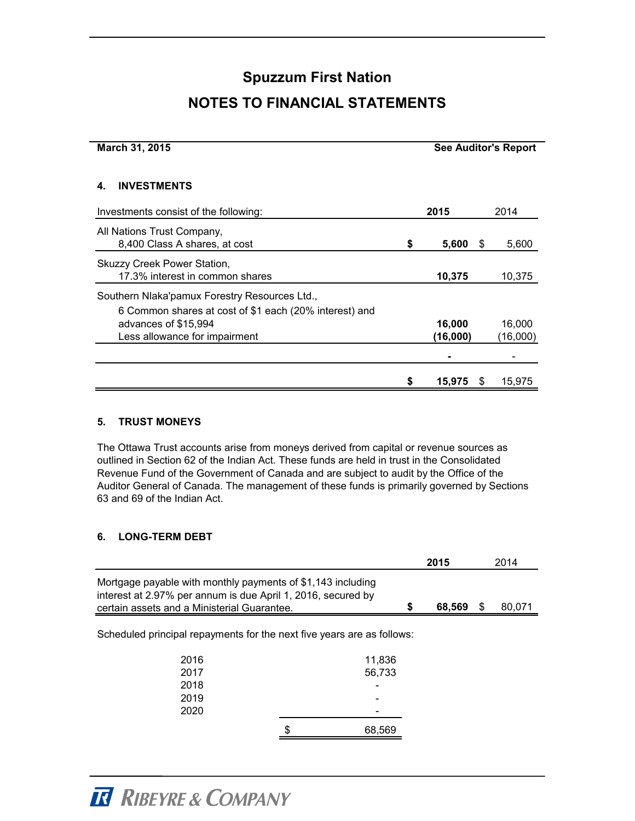### **NOTES TO FINANCIAL STATEMENTS**

| March 31, 2015                                                                                          |   |                    |   | <b>See Auditor's Report</b> |
|---------------------------------------------------------------------------------------------------------|---|--------------------|---|-----------------------------|
| <b>INVESTMENTS</b>                                                                                      |   |                    |   |                             |
| Investments consist of the following:                                                                   |   | 2015               |   | 2014                        |
| All Nations Trust Company,<br>8,400 Class A shares, at cost                                             | S | 5,600              | S | 5,600                       |
| Skuzzy Creek Power Station,<br>17.3% interest in common shares                                          |   | 10,375             |   | 10,375                      |
| Southern Nlaka'pamux Forestry Resources Ltd.,<br>6 Common shares at cost of \$1 each (20% interest) and |   |                    |   |                             |
| advances of \$15,994<br>Less allowance for impairment                                                   |   | 16,000<br>(16,000) |   | 16,000<br>(16,000)          |
|                                                                                                         |   |                    |   |                             |
|                                                                                                         |   | 15,975             | Ъ | 15,975                      |

#### **5. TRUST MONEYS**

The Ottawa Trust accounts arise from moneys derived from capital or revenue sources as outlined in Section 62 of the Indian Act. These funds are held in trust in the Consolidated Revenue Fund of the Government of Canada and are subject to audit by the Office of the Auditor General of Canada. The management of these funds is primarily governed by Sections 63 and 69 of the Indian Act.

#### **6. LONG-TERM DEBT**

|                                                                        |                                                                                                                             |        | 2015 |  | 2014 |
|------------------------------------------------------------------------|-----------------------------------------------------------------------------------------------------------------------------|--------|------|--|------|
| certain assets and a Ministerial Guarantee.                            | Mortgage payable with monthly payments of \$1,143 including<br>interest at 2.97% per annum is due April 1, 2016, secured by |        |      |  |      |
| Scheduled principal repayments for the next five years are as follows: |                                                                                                                             |        |      |  |      |
| 2016                                                                   |                                                                                                                             | 11,836 |      |  |      |
| 2017                                                                   |                                                                                                                             | 56,733 |      |  |      |
| 2018                                                                   |                                                                                                                             |        |      |  |      |
| 2019                                                                   |                                                                                                                             |        |      |  |      |
| 2020                                                                   |                                                                                                                             |        |      |  |      |
|                                                                        | \$                                                                                                                          | 68,569 |      |  |      |

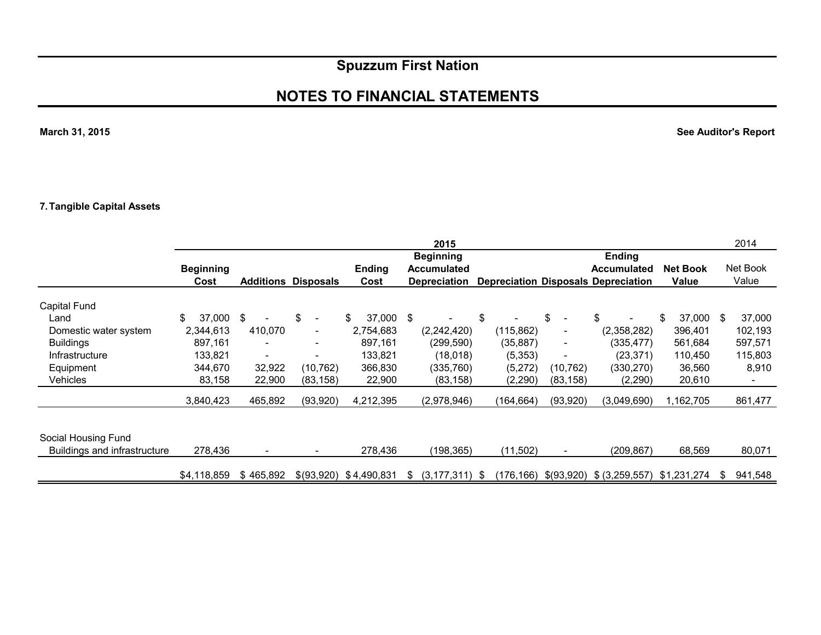### **NOTES TO FINANCIAL STATEMENTS**

**March 31, 2015**

**See Auditor's Report**

#### **7. Tangible Capital Assets**

|                              |                          |           |                                |                       | 2015                                                          |            |                          |                                                                                   |                          | 2014              |
|------------------------------|--------------------------|-----------|--------------------------------|-----------------------|---------------------------------------------------------------|------------|--------------------------|-----------------------------------------------------------------------------------|--------------------------|-------------------|
|                              | <b>Beginning</b><br>Cost |           | <b>Additions Disposals</b>     | <b>Ending</b><br>Cost | <b>Beginning</b><br><b>Accumulated</b><br><b>Depreciation</b> |            |                          | <b>Ending</b><br><b>Accumulated</b><br><b>Depreciation Disposals Depreciation</b> | <b>Net Book</b><br>Value | Net Book<br>Value |
| Capital Fund                 |                          |           |                                |                       |                                                               |            |                          |                                                                                   |                          |                   |
| Land                         | \$<br>37,000             | - \$      | \$<br>$\overline{\phantom{0}}$ | \$<br>37,000          | - \$                                                          | \$         | \$                       | \$                                                                                | \$<br>37,000             | 37,000<br>\$      |
| Domestic water system        | 2,344,613                | 410,070   | $\overline{\phantom{a}}$       | 2,754,683             | (2, 242, 420)                                                 | (115, 862) | -                        | (2,358,282)                                                                       | 396,401                  | 102,193           |
| <b>Buildings</b>             | 897,161                  |           | $\overline{\phantom{a}}$       | 897.161               | (299, 590)                                                    | (35, 887)  | $\overline{\phantom{0}}$ | (335, 477)                                                                        | 561,684                  | 597,571           |
| Infrastructure               | 133,821                  |           |                                | 133,821               | (18,018)                                                      | (5,353)    |                          | (23,371)                                                                          | 110,450                  | 115,803           |
| Equipment                    | 344,670                  | 32,922    | (10, 762)                      | 366,830               | (335,760)                                                     | (5,272)    | (10,762)                 | (330,270)                                                                         | 36,560                   | 8,910             |
| Vehicles                     | 83,158                   | 22,900    | (83, 158)                      | 22,900                | (83, 158)                                                     | (2, 290)   | (83, 158)                | (2,290)                                                                           | 20,610                   |                   |
|                              | 3,840,423                | 465,892   | (93, 920)                      | 4,212,395             | (2,978,946)                                                   | (164,664)  | (93, 920)                | (3,049,690)                                                                       | 1,162,705                | 861,477           |
|                              |                          |           |                                |                       |                                                               |            |                          |                                                                                   |                          |                   |
| Social Housing Fund          |                          |           |                                |                       |                                                               |            |                          |                                                                                   |                          |                   |
| Buildings and infrastructure | 278,436                  |           |                                | 278,436               | (198, 365)                                                    | (11,502)   |                          | (209, 867)                                                                        | 68,569                   | 80,071            |
|                              | \$4,118,859              | \$465,892 | \$(93,920)                     | \$4,490,831           | $(3, 177, 311)$ \$<br>\$                                      |            |                          | $(176, 166)$ \$ $(93, 920)$ \$ $(3, 259, 557)$ \$1,231,274                        |                          | 941,548<br>\$     |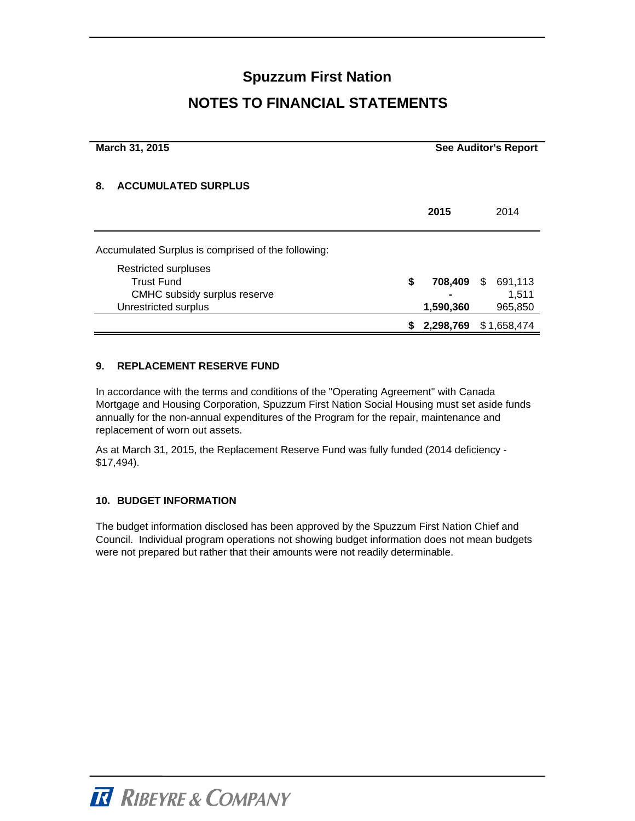### **NOTES TO FINANCIAL STATEMENTS**

| March 31, 2015                                     | <b>See Auditor's Report</b> |     |             |  |  |
|----------------------------------------------------|-----------------------------|-----|-------------|--|--|
| <b>ACCUMULATED SURPLUS</b><br>8.                   |                             |     |             |  |  |
|                                                    | 2015                        |     | 2014        |  |  |
| Accumulated Surplus is comprised of the following: |                             |     |             |  |  |
| <b>Restricted surpluses</b>                        |                             |     |             |  |  |
| <b>Trust Fund</b>                                  | \$<br>708,409               | \$. | 691,113     |  |  |
| CMHC subsidy surplus reserve                       |                             |     | 1,511       |  |  |
| Unrestricted surplus                               | 1,590,360                   |     | 965,850     |  |  |
|                                                    | 2,298,769                   |     | \$1,658,474 |  |  |

#### **9. REPLACEMENT RESERVE FUND**

In accordance with the terms and conditions of the "Operating Agreement" with Canada Mortgage and Housing Corporation, Spuzzum First Nation Social Housing must set aside funds annually for the non-annual expenditures of the Program for the repair, maintenance and replacement of worn out assets.

As at March 31, 2015, the Replacement Reserve Fund was fully funded (2014 deficiency - \$17,494).

#### **10. BUDGET INFORMATION**

The budget information disclosed has been approved by the Spuzzum First Nation Chief and Council. Individual program operations not showing budget information does not mean budgets were not prepared but rather that their amounts were not readily determinable.